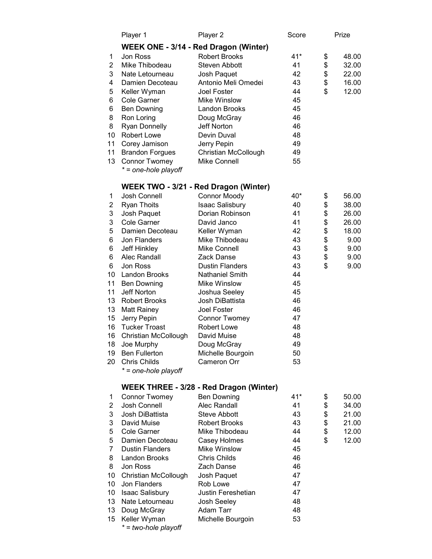|    | Player 1               | Player 2                                       | Score | Prize       |
|----|------------------------|------------------------------------------------|-------|-------------|
|    |                        | WEEK ONE - 3/14 - Red Dragon (Winter)          |       |             |
| 1  | Jon Ross               | <b>Robert Brooks</b>                           | $41*$ | \$<br>48.00 |
| 2  | Mike Thibodeau         | <b>Steven Abbott</b>                           | 41    | \$<br>32.00 |
| 3  | Nate Letourneau        | Josh Paquet                                    | 42    | \$<br>22.00 |
| 4  | Damien Decoteau        | Antonio Meli Omedei                            | 43    | \$<br>16.00 |
| 5  | Keller Wyman           | <b>Joel Foster</b>                             | 44    | \$<br>12.00 |
| 6  | Cole Garner            | <b>Mike Winslow</b>                            | 45    |             |
| 6  | <b>Ben Downing</b>     | Landon Brooks                                  | 45    |             |
| 8  | Ron Loring             | Doug McGray                                    | 46    |             |
| 8  | <b>Ryan Donnelly</b>   | Jeff Norton                                    | 46    |             |
| 10 | Robert Lowe            | Devin Duval                                    | 48    |             |
| 11 | Corey Jamison          | Jerry Pepin                                    | 49    |             |
| 11 | <b>Brandon Forgues</b> | <b>Christian McCollough</b>                    | 49    |             |
| 13 | <b>Connor Twomey</b>   | <b>Mike Connell</b>                            | 55    |             |
|    | * = one-hole playoff   |                                                |       |             |
|    |                        |                                                |       |             |
|    |                        | WEEK TWO - 3/21 - Red Dragon (Winter)          |       |             |
| 1  | Josh Connell           | <b>Connor Moody</b>                            | 40*   | \$<br>56.00 |
| 2  | <b>Ryan Thoits</b>     | <b>Isaac Salisbury</b>                         | 40    | \$<br>38.00 |
| 3  | Josh Paquet            | Dorian Robinson                                | 41    | \$<br>26.00 |
| 3  | Cole Garner            | David Janco                                    | 41    | \$<br>26.00 |
| 5  | Damien Decoteau        | Keller Wyman                                   | 42    | \$<br>18.00 |
| 6  | Jon Flanders           | Mike Thibodeau                                 | 43    | \$<br>9.00  |
| 6  | Jeff Hinkley           | <b>Mike Connell</b>                            | 43    | \$<br>9.00  |
| 6  | Alec Randall           | Zack Danse                                     | 43    | \$<br>9.00  |
| 6  | Jon Ross               | <b>Dustin Flanders</b>                         | 43    | \$<br>9.00  |
| 10 | Landon Brooks          | <b>Nathaniel Smith</b>                         | 44    |             |
| 11 | <b>Ben Downing</b>     | <b>Mike Winslow</b>                            | 45    |             |
| 11 | Jeff Norton            | Joshua Seeley                                  | 45    |             |
| 13 | <b>Robert Brooks</b>   | Josh DiBattista                                | 46    |             |
| 13 | <b>Matt Rainey</b>     | Joel Foster                                    | 46    |             |
| 15 | Jerry Pepin            | <b>Connor Twomey</b>                           | 47    |             |
| 16 | <b>Tucker Troast</b>   | <b>Robert Lowe</b>                             | 48    |             |
| 16 | Christian McCollough   | David Muise                                    | 48    |             |
| 18 | Joe Murphy             | Doug McGray                                    | 49    |             |
| 19 | <b>Ben Fullerton</b>   | Michelle Bourgoin                              | 50    |             |
| 20 | <b>Chris Childs</b>    | Cameron Orr                                    | 53    |             |
|    | * = one-hole playoff   |                                                |       |             |
|    |                        |                                                |       |             |
|    |                        | <b>WEEK THREE - 3/28 - Red Dragon (Winter)</b> |       |             |
| 1  | <b>Connor Twomey</b>   | <b>Ben Downing</b>                             | 41*   | \$<br>50.00 |
| 2  | Josh Connell           | <b>Alec Randall</b>                            | 41    | \$<br>34.00 |
| 3  | Josh DiBattista        | Steve Abbott                                   | 43    | \$<br>21.00 |
| 3  | David Muise            | <b>Robert Brooks</b>                           | 43    | \$<br>21.00 |
| 5  | <b>Cole Garner</b>     | Mike Thibodeau                                 | 44    | \$<br>12.00 |
| 5  | Damien Decoteau        | Casey Holmes                                   | 44    | \$<br>12.00 |
| 7  | <b>Dustin Flanders</b> | <b>Mike Winslow</b>                            | 45    |             |
| 8  | Landon Brooks          | <b>Chris Childs</b>                            | 46    |             |
| 8  | Jon Ross               | Zach Danse                                     | 46    |             |
| 10 | Christian McCollough   | Josh Paquet                                    | 47    |             |
| 10 | Jon Flanders           | Rob Lowe                                       | 47    |             |
| 10 | Isaac Salisbury        | Justin Fereshetian                             | 47    |             |
| 13 | Nate Letourneau        | Josh Seeley                                    | 48    |             |
| 13 | Doug McGray            | Adam Tarr                                      | 48    |             |
| 15 | Keller Wyman           | Michelle Bourgoin                              | 53    |             |
|    | * = two-hole playoff   |                                                |       |             |
|    |                        |                                                |       |             |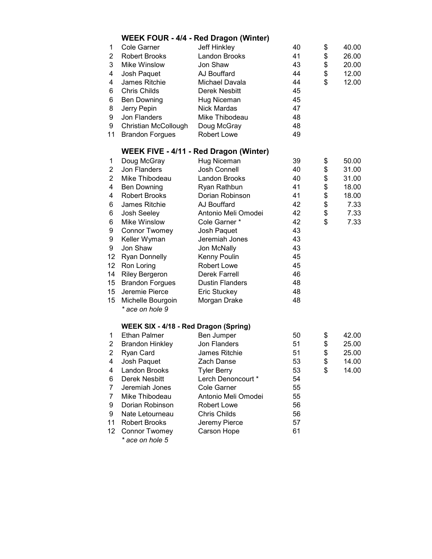|                   |                                       | <b>WEEK FOUR - 4/4 - Red Dragon (Winter)</b>  |    |             |
|-------------------|---------------------------------------|-----------------------------------------------|----|-------------|
| 1                 | Cole Garner                           | Jeff Hinkley                                  | 40 | \$<br>40.00 |
| $\overline{2}$    | <b>Robert Brooks</b>                  | <b>Landon Brooks</b>                          | 41 | \$<br>26.00 |
| 3                 | Mike Winslow                          | Jon Shaw                                      | 43 | \$<br>20.00 |
| 4                 | Josh Paquet                           | AJ Bouffard                                   | 44 | \$<br>12.00 |
| 4                 | James Ritchie                         | Michael Davala                                | 44 | \$<br>12.00 |
| 6                 | <b>Chris Childs</b>                   | Derek Nesbitt                                 | 45 |             |
| 6                 | <b>Ben Downing</b>                    | Hug Niceman                                   | 45 |             |
| 8                 | Jerry Pepin                           | <b>Nick Mardas</b>                            | 47 |             |
| 9                 | Jon Flanders                          | Mike Thibodeau                                | 48 |             |
| 9                 | Christian McCollough                  | Doug McGray                                   | 48 |             |
| 11                | <b>Brandon Forgues</b>                | <b>Robert Lowe</b>                            | 49 |             |
|                   |                                       | <b>WEEK FIVE - 4/11 - Red Dragon (Winter)</b> |    |             |
| 1                 | Doug McGray                           | Hug Niceman                                   | 39 | \$<br>50.00 |
| 2                 | Jon Flanders                          | <b>Josh Connell</b>                           | 40 | \$<br>31.00 |
| $\overline{2}$    | Mike Thibodeau                        | Landon Brooks                                 | 40 | \$<br>31.00 |
| 4                 | <b>Ben Downing</b>                    | Ryan Rathbun                                  | 41 | \$<br>18.00 |
| 4                 | <b>Robert Brooks</b>                  | Dorian Robinson                               | 41 | \$<br>18.00 |
| 6                 | James Ritchie                         | AJ Bouffard                                   | 42 | \$<br>7.33  |
| 6                 | Josh Seeley                           | Antonio Meli Omodei                           | 42 | \$<br>7.33  |
| 6                 | Mike Winslow                          | Cole Garner *                                 | 42 | \$<br>7.33  |
| 9                 | <b>Connor Twomey</b>                  | Josh Paquet                                   | 43 |             |
| 9                 | Keller Wyman                          | Jeremiah Jones                                | 43 |             |
| 9                 | Jon Shaw                              | Jon McNally                                   | 43 |             |
| 12                | <b>Ryan Donnelly</b>                  | Kenny Poulin                                  | 45 |             |
| $12 \overline{ }$ | Ron Loring                            | <b>Robert Lowe</b>                            | 45 |             |
| 14                | <b>Riley Bergeron</b>                 | Derek Farrell                                 | 46 |             |
| 15                | <b>Brandon Forgues</b>                | <b>Dustin Flanders</b>                        | 48 |             |
| 15                | Jeremie Pierce                        | Eric Stuckey                                  | 48 |             |
| 15                | Michelle Bourgoin                     | Morgan Drake                                  | 48 |             |
|                   | * ace on hole 9                       |                                               |    |             |
|                   | WEEK SIX - 4/18 - Red Dragon (Spring) |                                               |    |             |
| 1                 | <b>Ethan Palmer</b>                   | Ben Jumper                                    | 50 | \$<br>42.00 |
| $\overline{2}$    | <b>Brandon Hinkley</b>                | Jon Flanders                                  | 51 | \$<br>25.00 |
| $\overline{2}$    | Ryan Card                             | James Ritchie                                 | 51 | \$<br>25.00 |
| 4                 | Josh Paquet                           | Zach Danse                                    | 53 | \$<br>14.00 |
| 4                 | Landon Brooks                         | <b>Tyler Berry</b>                            | 53 | \$<br>14.00 |
| 6                 | Derek Nesbitt                         | Lerch Denoncourt *                            | 54 |             |
| $\overline{7}$    | Jeremiah Jones                        | Cole Garner                                   | 55 |             |
| $\overline{7}$    | Mike Thibodeau                        | Antonio Meli Omodei                           | 55 |             |
| 9                 | Dorian Robinson                       | <b>Robert Lowe</b>                            | 56 |             |
| 9                 | Nate Letourneau                       | <b>Chris Childs</b>                           | 56 |             |
| 11                | <b>Robert Brooks</b>                  | Jeremy Pierce                                 | 57 |             |
| 12 <sup>2</sup>   | <b>Connor Twomey</b>                  | Carson Hope                                   | 61 |             |
|                   | * ace on hole 5                       |                                               |    |             |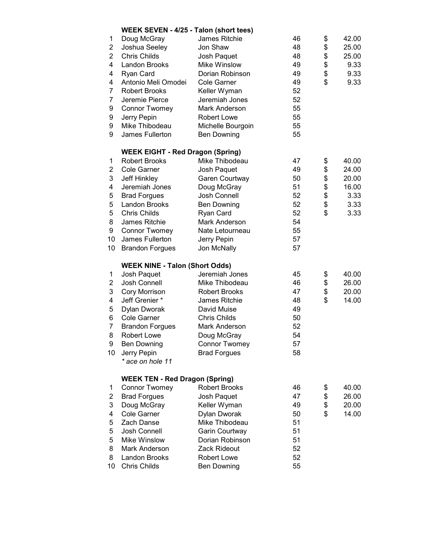|                | WEEK SEVEN - 4/25 - Talon (short tees)  |                      |    |             |
|----------------|-----------------------------------------|----------------------|----|-------------|
| 1              | Doug McGray                             | James Ritchie        | 46 | \$<br>42.00 |
| 2              | Joshua Seeley                           | Jon Shaw             | 48 | \$<br>25.00 |
| $\overline{2}$ | <b>Chris Childs</b>                     | Josh Paquet          | 48 | \$<br>25.00 |
| 4              | Landon Brooks                           | Mike Winslow         | 49 | \$<br>9.33  |
| 4              | Ryan Card                               | Dorian Robinson      | 49 | \$<br>9.33  |
| 4              | Antonio Meli Omodei                     | Cole Garner          | 49 | \$<br>9.33  |
| 7              | <b>Robert Brooks</b>                    |                      |    |             |
|                |                                         | Keller Wyman         | 52 |             |
| 7              | Jeremie Pierce                          | Jeremiah Jones       | 52 |             |
| 9              | <b>Connor Twomey</b>                    | Mark Anderson        | 55 |             |
| 9              | Jerry Pepin                             | <b>Robert Lowe</b>   | 55 |             |
| 9              | Mike Thibodeau                          | Michelle Bourgoin    | 55 |             |
| 9              | James Fullerton                         | <b>Ben Downing</b>   | 55 |             |
|                | <b>WEEK EIGHT - Red Dragon (Spring)</b> |                      |    |             |
| 1              | <b>Robert Brooks</b>                    | Mike Thibodeau       | 47 | \$<br>40.00 |
| 2              | Cole Garner                             | Josh Paquet          | 49 | \$<br>24.00 |
| 3              | Jeff Hinkley                            | Garen Courtway       | 50 | \$<br>20.00 |
| 4              | Jeremiah Jones                          | Doug McGray          | 51 | \$<br>16.00 |
| 5              | <b>Brad Forgues</b>                     | Josh Connell         | 52 | \$<br>3.33  |
| 5              | Landon Brooks                           | <b>Ben Downing</b>   | 52 | \$<br>3.33  |
| 5              | <b>Chris Childs</b>                     | Ryan Card            | 52 | \$<br>3.33  |
| 8              | James Ritchie                           | <b>Mark Anderson</b> | 54 |             |
| 9              |                                         | Nate Letourneau      | 55 |             |
|                | <b>Connor Twomey</b>                    |                      |    |             |
| 10             | James Fullerton                         | Jerry Pepin          | 57 |             |
| 10             | <b>Brandon Forgues</b>                  | Jon McNally          | 57 |             |
|                | <b>WEEK NINE - Talon (Short Odds)</b>   |                      |    |             |
| 1              | Josh Paquet                             | Jeremiah Jones       | 45 | \$<br>40.00 |
| 2              | Josh Connell                            | Mike Thibodeau       | 46 | \$<br>26.00 |
| 3              | Cory Morrison                           | <b>Robert Brooks</b> | 47 | \$<br>20.00 |
| 4              | Jeff Grenier *                          | James Ritchie        | 48 | \$<br>14.00 |
| 5              | Dylan Dworak                            | David Muise          | 49 |             |
| 6              | Cole Garner                             | <b>Chris Childs</b>  | 50 |             |
| 7              | <b>Brandon Forgues</b>                  | Mark Anderson        | 52 |             |
| 8              | <b>Robert Lowe</b>                      | Doug McGray          | 54 |             |
| 9              | <b>Ben Downing</b>                      | <b>Connor Twomey</b> | 57 |             |
| 10             | Jerry Pepin                             | <b>Brad Forgues</b>  | 58 |             |
|                | * ace on hole 11                        |                      |    |             |
|                |                                         |                      |    |             |
|                | <b>WEEK TEN - Red Dragon (Spring)</b>   |                      |    |             |
| 1              | <b>Connor Twomey</b>                    | <b>Robert Brooks</b> | 46 | \$<br>40.00 |
| 2              | <b>Brad Forgues</b>                     | Josh Paquet          | 47 | \$<br>26.00 |
| 3              | Doug McGray                             | Keller Wyman         | 49 | \$<br>20.00 |
| 4              | Cole Garner                             | Dylan Dworak         | 50 | \$<br>14.00 |
| 5              | Zach Danse                              | Mike Thibodeau       | 51 |             |
| 5              | Josh Connell                            | Garin Courtway       | 51 |             |
| 5              | Mike Winslow                            | Dorian Robinson      | 51 |             |
| 8              | Mark Anderson                           | Zack Rideout         | 52 |             |
| 8              | Landon Brooks                           | Robert Lowe          | 52 |             |
| 10             | Chris Childs                            | <b>Ben Downing</b>   | 55 |             |